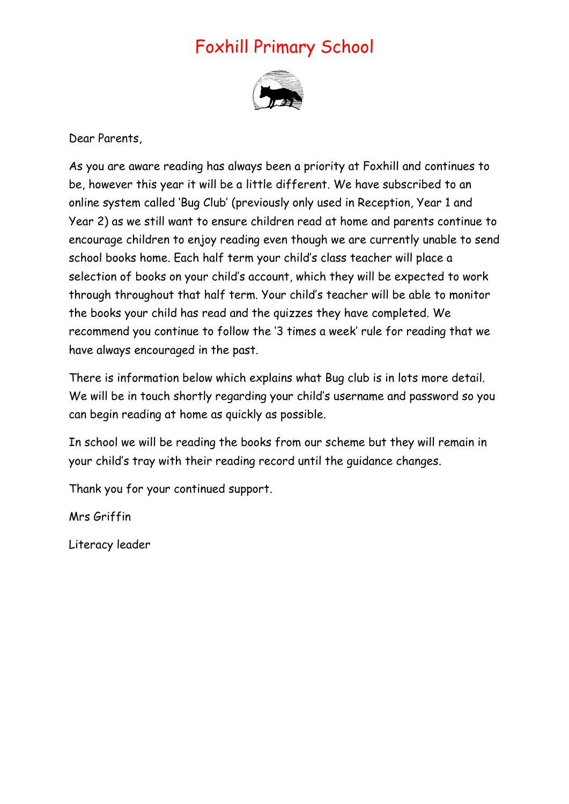## Foxhill Primary School



Dear Parents,

As you are aware reading has always been a priority at Foxhill and continues to be, however this year it will be a little different. We have subscribed to an online system called 'Bug Club' (previously only used in Reception, Year 1 and Year 2) as we still want to ensure children read at home and parents continue to encourage children to enjoy reading even though we are currently unable to send school books home. Each half term your child's class teacher will place a selection of books on your child's account, which they will be expected to work through throughout that half term. Your child's teacher will be able to monitor the books your child has read and the quizzes they have completed. We recommend you continue to follow the '3 times a week' rule for reading that we have always encouraged in the past.

There is information below which explains what Bug club is in lots more detail. We will be in touch shortly regarding your child's username and password so you can begin reading at home as quickly as possible.

In school we will be reading the books from our scheme but they will remain in your child's tray with their reading record until the guidance changes.

Thank you for your continued support.

Mrs Griffin

Literacy leader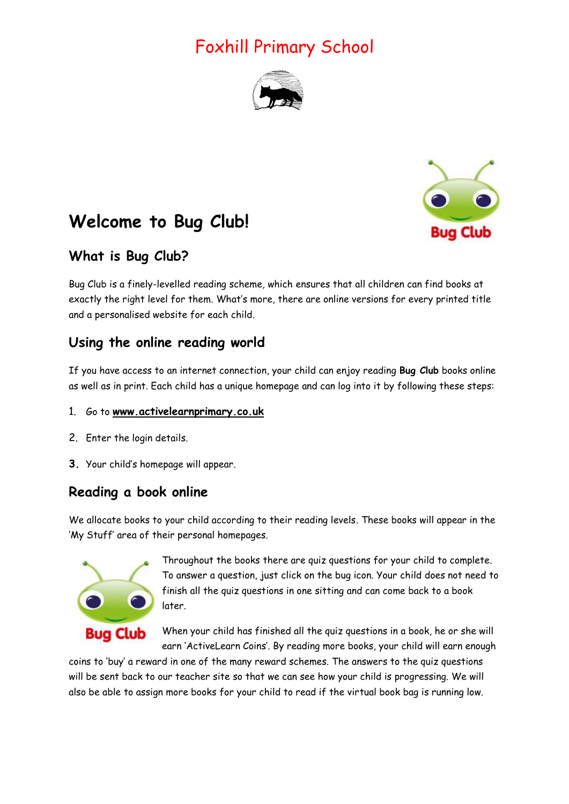# Foxhill Primary School





# **Welcome to Bug Club!**

## **What is Bug Club?**

Bug Club is a finely-levelled reading scheme, which ensures that all children can find books at exactly the right level for them. What's more, there are online versions for every printed title and a personalised website for each child.

### **Using the online reading world**

If you have access to an internet connection, your child can enjoy reading **Bug Club** books online as well as in print. Each child has a unique homepage and can log into it by following these steps:

### 1. Go to **[www.activelearnprimary.co.uk](http://www.activelearnprimary.co.uk/)**

- 2. Enter the login details.
- **3.** Your child's homepage will appear.

## **Reading a book online**

We allocate books to your child according to their reading levels. These books will appear in the 'My Stuff' area of their personal homepages.



Throughout the books there are quiz questions for your child to complete. To answer a question, just click on the bug icon. Your child does not need to finish all the quiz questions in one sitting and can come back to a book later.

When your child has finished all the quiz questions in a book, he or she will earn 'ActiveLearn Coins'. By reading more books, your child will earn enough

coins to 'buy' a reward in one of the many reward schemes. The answers to the quiz questions will be sent back to our teacher site so that we can see how your child is progressing. We will also be able to assign more books for your child to read if the virtual book bag is running low.